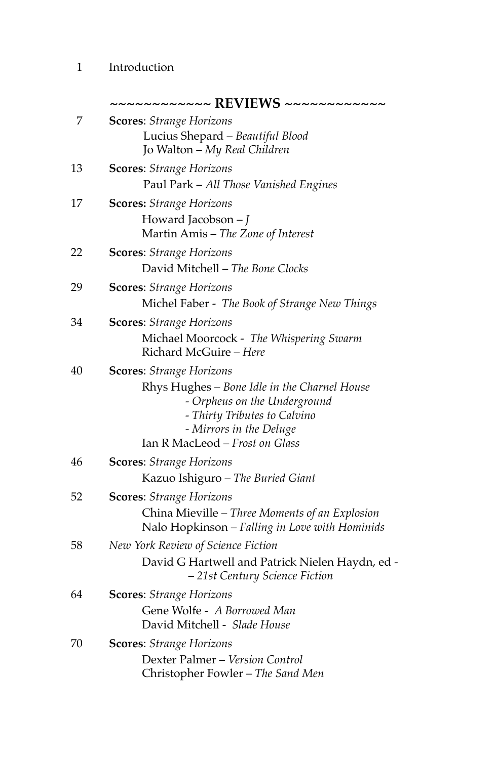# 1 Introduction

|    | ~~~~~~~~~~~ REVIEWS ~~~~~~~~~~~~                                                                                                                                                                             |
|----|--------------------------------------------------------------------------------------------------------------------------------------------------------------------------------------------------------------|
| 7  | <b>Scores:</b> Strange Horizons                                                                                                                                                                              |
|    | Lucius Shepard - Beautiful Blood<br>Jo Walton - My Real Children                                                                                                                                             |
| 13 | <b>Scores:</b> Strange Horizons<br>Paul Park - All Those Vanished Engines                                                                                                                                    |
| 17 | <b>Scores:</b> Strange Horizons<br>Howard Jacobson - J<br>Martin Amis - The Zone of Interest                                                                                                                 |
| 22 | <b>Scores:</b> Strange Horizons<br>David Mitchell - The Bone Clocks                                                                                                                                          |
| 29 | <b>Scores:</b> Strange Horizons<br>Michel Faber - The Book of Strange New Things                                                                                                                             |
| 34 | <b>Scores:</b> Strange Horizons<br>Michael Moorcock - The Whispering Swarm<br>Richard McGuire - Here                                                                                                         |
| 40 | <b>Scores:</b> Strange Horizons<br>Rhys Hughes - Bone Idle in the Charnel House<br>- Orpheus on the Underground<br>- Thirty Tributes to Calvino<br>- Mirrors in the Deluge<br>Ian R MacLeod - Frost on Glass |
| 46 | <b>Scores:</b> Strange Horizons<br>Kazuo Ishiguro - The Buried Giant                                                                                                                                         |
| 52 | <b>Scores:</b> Strange Horizons<br>China Mieville - Three Moments of an Explosion<br>Nalo Hopkinson - Falling in Love with Hominids                                                                          |
| 58 | New York Review of Science Fiction<br>David G Hartwell and Patrick Nielen Haydn, ed -<br>-21st Century Science Fiction                                                                                       |
| 64 | <b>Scores:</b> Strange Horizons<br>Gene Wolfe - A Borrowed Man<br>David Mitchell - Slade House                                                                                                               |
| 70 | <b>Scores:</b> Strange Horizons<br>Dexter Palmer - Version Control<br>Christopher Fowler - The Sand Men                                                                                                      |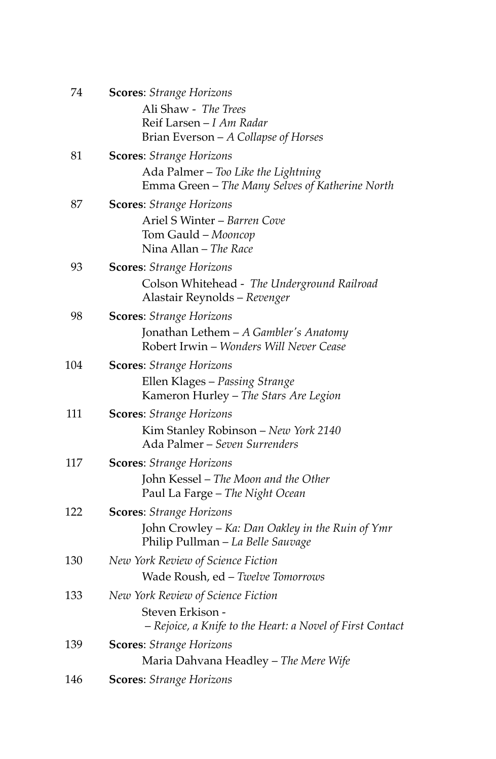| 74  | <b>Scores:</b> Strange Horizons                                             |
|-----|-----------------------------------------------------------------------------|
|     | Ali Shaw - The Trees                                                        |
|     | Reif Larsen - I Am Radar                                                    |
|     | Brian Everson - A Collapse of Horses                                        |
| 81  | <b>Scores:</b> Strange Horizons                                             |
|     | Ada Palmer - Too Like the Lightning                                         |
|     | Emma Green - The Many Selves of Katherine North                             |
| 87  | <b>Scores:</b> Strange Horizons                                             |
|     | Ariel S Winter - Barren Cove                                                |
|     | Tom Gauld - Mooncop                                                         |
|     | Nina Allan - The Race                                                       |
| 93  | <b>Scores:</b> Strange Horizons                                             |
|     | Colson Whitehead - The Underground Railroad<br>Alastair Reynolds - Revenger |
| 98  | <b>Scores:</b> Strange Horizons                                             |
|     | Jonathan Lethem - A Gambler's Anatomy                                       |
|     | Robert Irwin - Wonders Will Never Cease                                     |
| 104 | <b>Scores:</b> Strange Horizons                                             |
|     | Ellen Klages - Passing Strange                                              |
|     | Kameron Hurley - The Stars Are Legion                                       |
| 111 | <b>Scores:</b> Strange Horizons                                             |
|     | Kim Stanley Robinson - New York 2140                                        |
|     | Ada Palmer - Seven Surrenders                                               |
| 117 | <b>Scores:</b> Strange Horizons                                             |
|     | John Kessel - The Moon and the Other                                        |
|     | Paul La Farge - The Night Ocean                                             |
| 122 | <b>Scores:</b> Strange Horizons                                             |
|     | John Crowley – Ka: Dan Oakley in the Ruin of Ymr                            |
|     | Philip Pullman - La Belle Sauvage                                           |
| 130 | New York Review of Science Fiction                                          |
|     | Wade Roush, ed - Twelve Tomorrows                                           |
| 133 | New York Review of Science Fiction                                          |
|     | Steven Erkison -                                                            |
|     | - Rejoice, a Knife to the Heart: a Novel of First Contact                   |
| 139 | <b>Scores:</b> Strange Horizons                                             |
|     | Maria Dahvana Headley - The Mere Wife                                       |
| 146 | <b>Scores:</b> Strange Horizons                                             |
|     |                                                                             |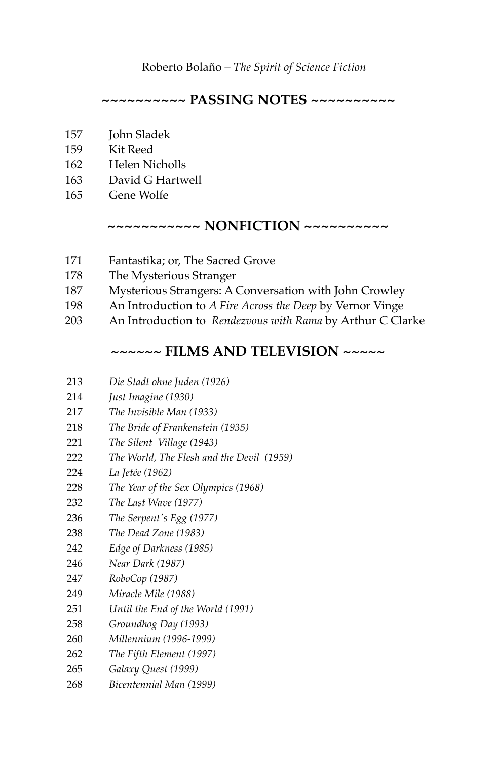#### Roberto Bolaño – *The Spirit of Science Fiction*

## **~~~~~~~~~~ PASSING NOTES ~~~~~~~~~~**

- 157 John Sladek
- 159 Kit Reed
- 162 Helen Nicholls
- 163 David G Hartwell
- 165 Gene Wolfe

#### **~~~~~~~~~~~ NONFICTION ~~~~~~~~~~**

- 171 Fantastika; or, The Sacred Grove
- 178 The Mysterious Stranger
- 187 Mysterious Strangers: A Conversation with John Crowley
- 198 An Introduction to *A Fire Across the Deep* by Vernor Vinge
- 203 An Introduction to *Rendezvous with Rama* by Arthur C Clarke

## **~~~~~~ FILMS AND TELEVISION ~~~~~**

| 213 | Die Stadt ohne Juden (1926) |  |
|-----|-----------------------------|--|
|-----|-----------------------------|--|

- 214 *Just Imagine (1930)*
- 217 *The Invisible Man (1933)*
- 218 *The Bride of Frankenstein (1935)*
- 221 *The Silent Village (1943)*
- 222 *The World, The Flesh and the Devil (1959)*
- 224 *La Jetée (1962)*
- 228 *The Year of the Sex Olympics (1968)*
- 232 *The Last Wave (1977)*
- 236 *The Serpent's Egg (1977)*
- 238 *The Dead Zone (1983)*
- 242 *Edge of Darkness (1985)*
- 246 *Near Dark (1987)*
- 247 *RoboCop (1987)*
- 249 *Miracle Mile (1988)*
- 251 *Until the End of the World (1991)*
- 258 *Groundhog Day (1993)*
- 260 *Millennium (1996-1999)*
- 262 *The Fifth Element (1997)*
- 265 *Galaxy Quest (1999)*
- 268 *Bicentennial Man (1999)*